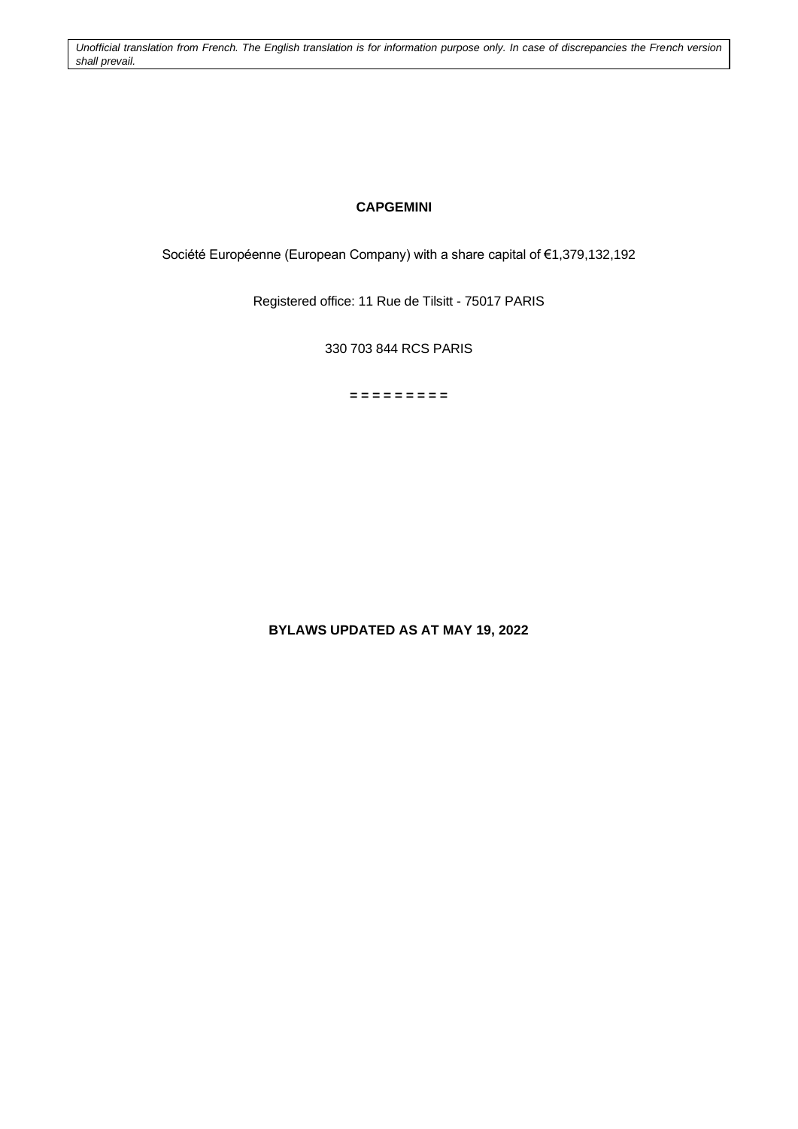*Unofficial translation from French. The English translation is for information purpose only. In case of discrepancies the French version shall prevail.*

## **CAPGEMINI**

Société Européenne (European Company) with a share capital of €1,379,132,192

Registered office: 11 Rue de Tilsitt - 75017 PARIS

330 703 844 RCS PARIS

**= = = = = = = = =**

**BYLAWS UPDATED AS AT MAY 19, 2022**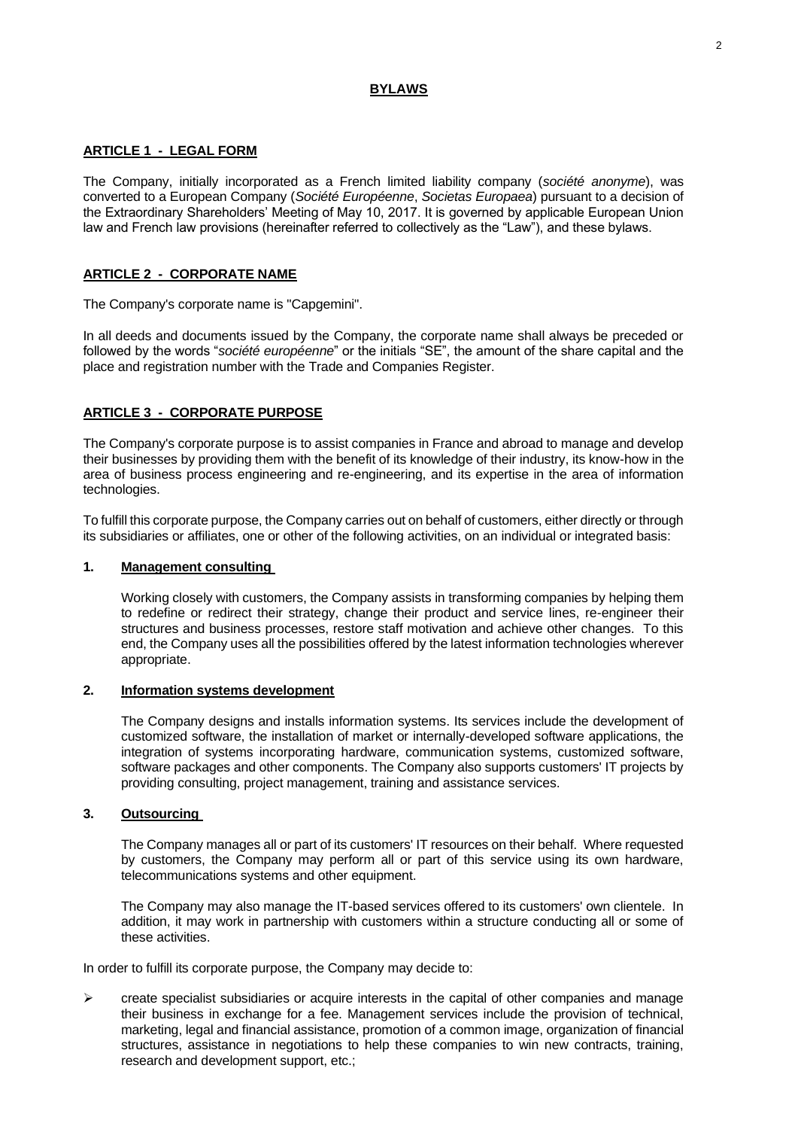## **BYLAWS**

### **ARTICLE 1 - LEGAL FORM**

The Company, initially incorporated as a French limited liability company (*société anonyme*), was converted to a European Company (*Société Européenne*, *Societas Europaea*) pursuant to a decision of the Extraordinary Shareholders' Meeting of May 10, 2017. It is governed by applicable European Union law and French law provisions (hereinafter referred to collectively as the "Law"), and these bylaws.

## **ARTICLE 2 - CORPORATE NAME**

The Company's corporate name is "Capgemini".

In all deeds and documents issued by the Company, the corporate name shall always be preceded or followed by the words "*société européenne*" or the initials "SE", the amount of the share capital and the place and registration number with the Trade and Companies Register.

## **ARTICLE 3 - CORPORATE PURPOSE**

The Company's corporate purpose is to assist companies in France and abroad to manage and develop their businesses by providing them with the benefit of its knowledge of their industry, its know-how in the area of business process engineering and re-engineering, and its expertise in the area of information technologies.

To fulfill this corporate purpose, the Company carries out on behalf of customers, either directly or through its subsidiaries or affiliates, one or other of the following activities, on an individual or integrated basis:

## **1. Management consulting**

Working closely with customers, the Company assists in transforming companies by helping them to redefine or redirect their strategy, change their product and service lines, re-engineer their structures and business processes, restore staff motivation and achieve other changes. To this end, the Company uses all the possibilities offered by the latest information technologies wherever appropriate.

#### **2. Information systems development**

The Company designs and installs information systems. Its services include the development of customized software, the installation of market or internally-developed software applications, the integration of systems incorporating hardware, communication systems, customized software, software packages and other components. The Company also supports customers' IT projects by providing consulting, project management, training and assistance services.

#### **3. Outsourcing**

The Company manages all or part of its customers' IT resources on their behalf. Where requested by customers, the Company may perform all or part of this service using its own hardware, telecommunications systems and other equipment.

The Company may also manage the IT-based services offered to its customers' own clientele. In addition, it may work in partnership with customers within a structure conducting all or some of these activities.

In order to fulfill its corporate purpose, the Company may decide to:

 $\triangleright$  create specialist subsidiaries or acquire interests in the capital of other companies and manage their business in exchange for a fee. Management services include the provision of technical, marketing, legal and financial assistance, promotion of a common image, organization of financial structures, assistance in negotiations to help these companies to win new contracts, training, research and development support, etc.;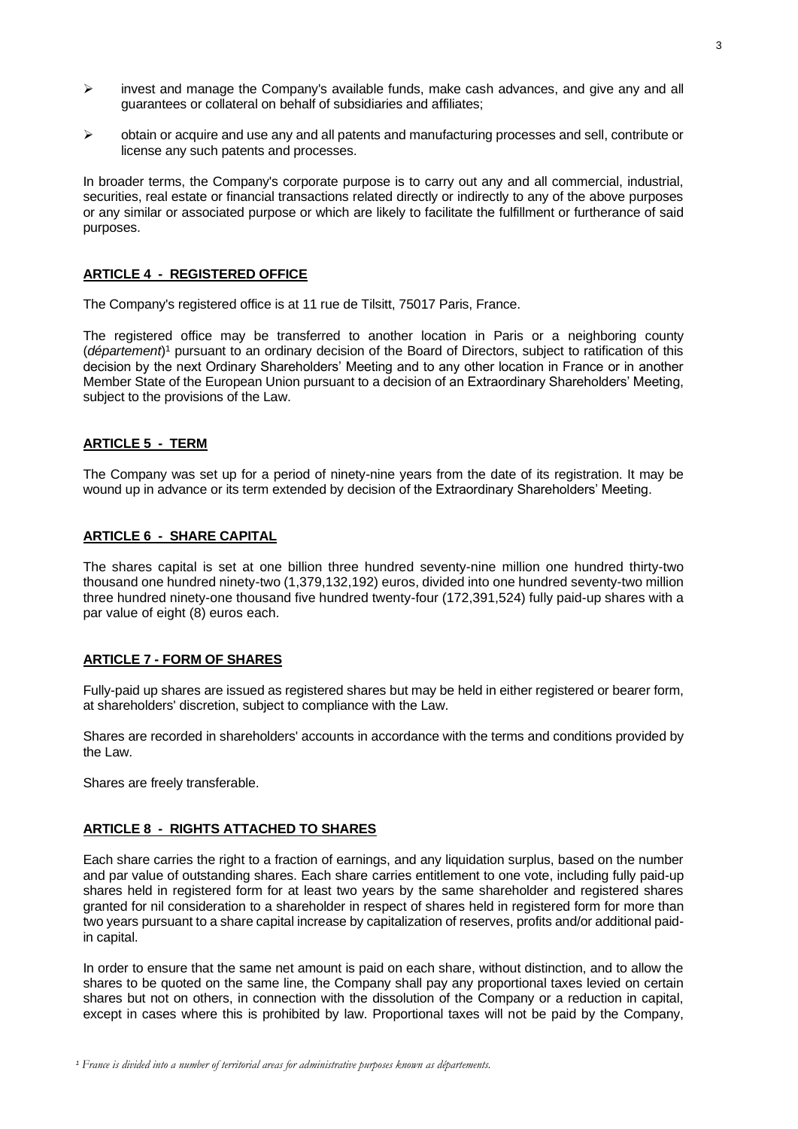- $\triangleright$  invest and manage the Company's available funds, make cash advances, and give any and all guarantees or collateral on behalf of subsidiaries and affiliates;
- $\triangleright$  obtain or acquire and use any and all patents and manufacturing processes and sell, contribute or license any such patents and processes.

In broader terms, the Company's corporate purpose is to carry out any and all commercial, industrial, securities, real estate or financial transactions related directly or indirectly to any of the above purposes or any similar or associated purpose or which are likely to facilitate the fulfillment or furtherance of said purposes.

## **ARTICLE 4 - REGISTERED OFFICE**

The Company's registered office is at 11 rue de Tilsitt, 75017 Paris, France.

The registered office may be transferred to another location in Paris or a neighboring county (*département*) <sup>1</sup> pursuant to an ordinary decision of the Board of Directors, subject to ratification of this decision by the next Ordinary Shareholders' Meeting and to any other location in France or in another Member State of the European Union pursuant to a decision of an Extraordinary Shareholders' Meeting, subject to the provisions of the Law.

#### **ARTICLE 5 - TERM**

The Company was set up for a period of ninety-nine years from the date of its registration. It may be wound up in advance or its term extended by decision of the Extraordinary Shareholders' Meeting.

### **ARTICLE 6 - SHARE CAPITAL**

The shares capital is set at one billion three hundred seventy-nine million one hundred thirty-two thousand one hundred ninety-two (1,379,132,192) euros, divided into one hundred seventy-two million three hundred ninety-one thousand five hundred twenty-four (172,391,524) fully paid-up shares with a par value of eight (8) euros each.

#### **ARTICLE 7 - FORM OF SHARES**

Fully-paid up shares are issued as registered shares but may be held in either registered or bearer form, at shareholders' discretion, subject to compliance with the Law.

Shares are recorded in shareholders' accounts in accordance with the terms and conditions provided by the Law.

Shares are freely transferable.

## **ARTICLE 8 - RIGHTS ATTACHED TO SHARES**

Each share carries the right to a fraction of earnings, and any liquidation surplus, based on the number and par value of outstanding shares. Each share carries entitlement to one vote, including fully paid-up shares held in registered form for at least two years by the same shareholder and registered shares granted for nil consideration to a shareholder in respect of shares held in registered form for more than two years pursuant to a share capital increase by capitalization of reserves, profits and/or additional paidin capital.

In order to ensure that the same net amount is paid on each share, without distinction, and to allow the shares to be quoted on the same line, the Company shall pay any proportional taxes levied on certain shares but not on others, in connection with the dissolution of the Company or a reduction in capital, except in cases where this is prohibited by law. Proportional taxes will not be paid by the Company,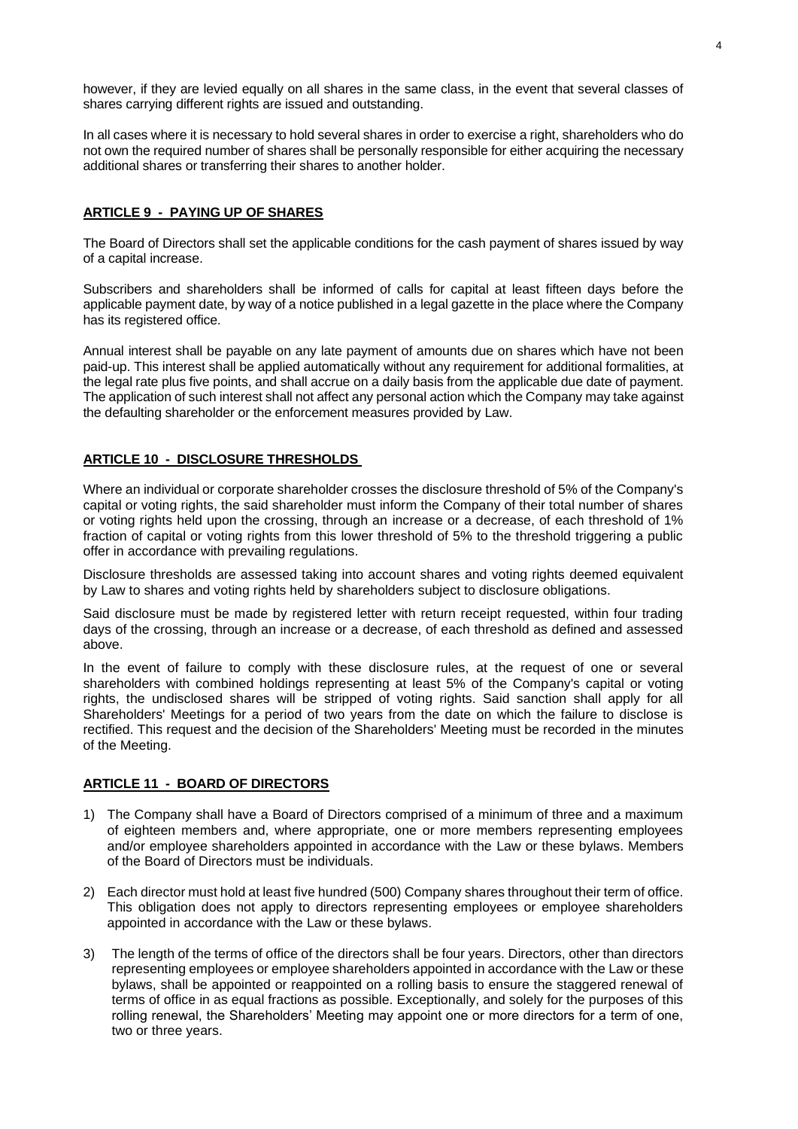however, if they are levied equally on all shares in the same class, in the event that several classes of shares carrying different rights are issued and outstanding.

In all cases where it is necessary to hold several shares in order to exercise a right, shareholders who do not own the required number of shares shall be personally responsible for either acquiring the necessary additional shares or transferring their shares to another holder.

## **ARTICLE 9 - PAYING UP OF SHARES**

The Board of Directors shall set the applicable conditions for the cash payment of shares issued by way of a capital increase.

Subscribers and shareholders shall be informed of calls for capital at least fifteen days before the applicable payment date, by way of a notice published in a legal gazette in the place where the Company has its registered office.

Annual interest shall be payable on any late payment of amounts due on shares which have not been paid-up. This interest shall be applied automatically without any requirement for additional formalities, at the legal rate plus five points, and shall accrue on a daily basis from the applicable due date of payment. The application of such interest shall not affect any personal action which the Company may take against the defaulting shareholder or the enforcement measures provided by Law.

#### **ARTICLE 10 - DISCLOSURE THRESHOLDS**

Where an individual or corporate shareholder crosses the disclosure threshold of 5% of the Company's capital or voting rights, the said shareholder must inform the Company of their total number of shares or voting rights held upon the crossing, through an increase or a decrease, of each threshold of 1% fraction of capital or voting rights from this lower threshold of 5% to the threshold triggering a public offer in accordance with prevailing regulations.

Disclosure thresholds are assessed taking into account shares and voting rights deemed equivalent by Law to shares and voting rights held by shareholders subject to disclosure obligations.

Said disclosure must be made by registered letter with return receipt requested, within four trading days of the crossing, through an increase or a decrease, of each threshold as defined and assessed above.

In the event of failure to comply with these disclosure rules, at the request of one or several shareholders with combined holdings representing at least 5% of the Company's capital or voting rights, the undisclosed shares will be stripped of voting rights. Said sanction shall apply for all Shareholders' Meetings for a period of two years from the date on which the failure to disclose is rectified. This request and the decision of the Shareholders' Meeting must be recorded in the minutes of the Meeting.

## **ARTICLE 11 - BOARD OF DIRECTORS**

- 1) The Company shall have a Board of Directors comprised of a minimum of three and a maximum of eighteen members and, where appropriate, one or more members representing employees and/or employee shareholders appointed in accordance with the Law or these bylaws. Members of the Board of Directors must be individuals.
- 2) Each director must hold at least five hundred (500) Company shares throughout their term of office. This obligation does not apply to directors representing employees or employee shareholders appointed in accordance with the Law or these bylaws.
- 3) The length of the terms of office of the directors shall be four years. Directors, other than directors representing employees or employee shareholders appointed in accordance with the Law or these bylaws, shall be appointed or reappointed on a rolling basis to ensure the staggered renewal of terms of office in as equal fractions as possible. Exceptionally, and solely for the purposes of this rolling renewal, the Shareholders' Meeting may appoint one or more directors for a term of one, two or three years.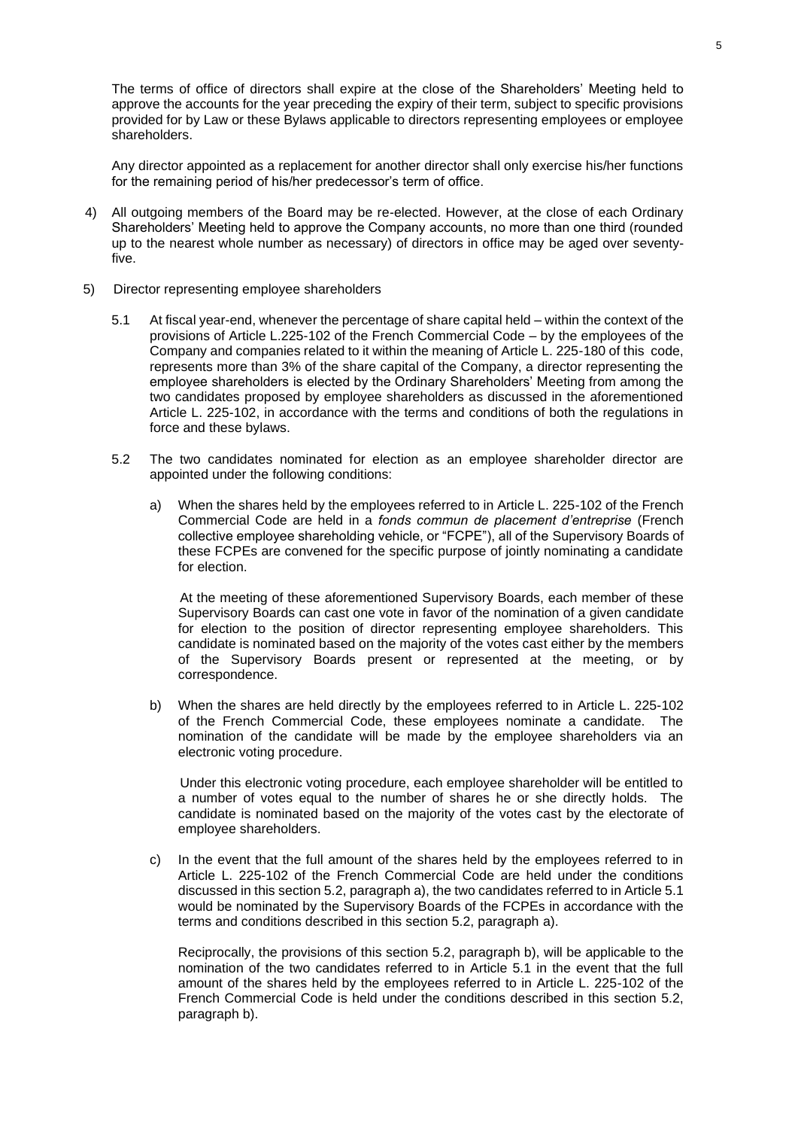The terms of office of directors shall expire at the close of the Shareholders' Meeting held to approve the accounts for the year preceding the expiry of their term, subject to specific provisions provided for by Law or these Bylaws applicable to directors representing employees or employee shareholders.

Any director appointed as a replacement for another director shall only exercise his/her functions for the remaining period of his/her predecessor's term of office.

- 4) All outgoing members of the Board may be re-elected. However, at the close of each Ordinary Shareholders' Meeting held to approve the Company accounts, no more than one third (rounded up to the nearest whole number as necessary) of directors in office may be aged over seventyfive.
- 5) Director representing employee shareholders
	- 5.1 At fiscal year-end, whenever the percentage of share capital held within the context of the provisions of Article L.225-102 of the French Commercial Code – by the employees of the Company and companies related to it within the meaning of Article L. 225-180 of this code, represents more than 3% of the share capital of the Company, a director representing the employee shareholders is elected by the Ordinary Shareholders' Meeting from among the two candidates proposed by employee shareholders as discussed in the aforementioned Article L. 225-102, in accordance with the terms and conditions of both the regulations in force and these bylaws.
	- 5.2 The two candidates nominated for election as an employee shareholder director are appointed under the following conditions:
		- a) When the shares held by the employees referred to in Article L. 225-102 of the French Commercial Code are held in a *fonds commun de placement d'entreprise* (French collective employee shareholding vehicle, or "FCPE"), all of the Supervisory Boards of these FCPEs are convened for the specific purpose of jointly nominating a candidate for election.

At the meeting of these aforementioned Supervisory Boards, each member of these Supervisory Boards can cast one vote in favor of the nomination of a given candidate for election to the position of director representing employee shareholders. This candidate is nominated based on the majority of the votes cast either by the members of the Supervisory Boards present or represented at the meeting, or by correspondence.

b) When the shares are held directly by the employees referred to in Article L. 225-102 of the French Commercial Code, these employees nominate a candidate. The nomination of the candidate will be made by the employee shareholders via an electronic voting procedure.

Under this electronic voting procedure, each employee shareholder will be entitled to a number of votes equal to the number of shares he or she directly holds. The candidate is nominated based on the majority of the votes cast by the electorate of employee shareholders.

c) In the event that the full amount of the shares held by the employees referred to in Article L. 225-102 of the French Commercial Code are held under the conditions discussed in this section 5.2, paragraph a), the two candidates referred to in Article 5.1 would be nominated by the Supervisory Boards of the FCPEs in accordance with the terms and conditions described in this section 5.2, paragraph a).

Reciprocally, the provisions of this section 5.2, paragraph b), will be applicable to the nomination of the two candidates referred to in Article 5.1 in the event that the full amount of the shares held by the employees referred to in Article L. 225-102 of the French Commercial Code is held under the conditions described in this section 5.2, paragraph b).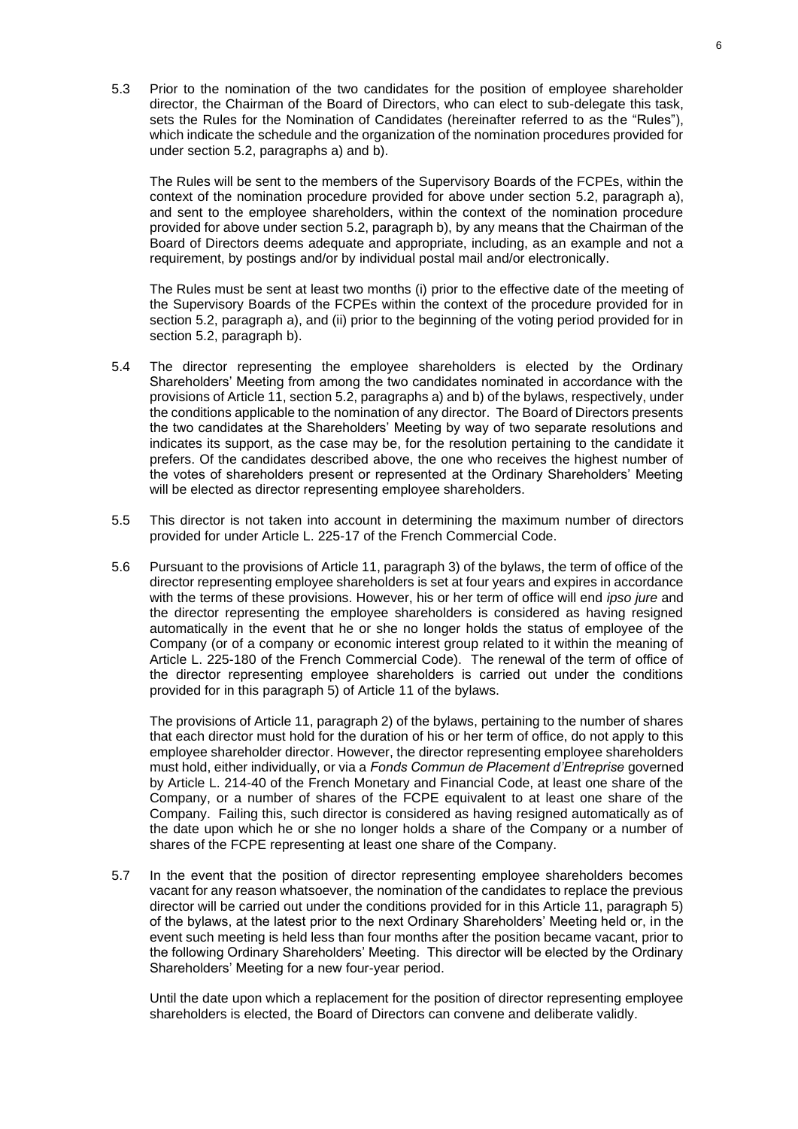5.3 Prior to the nomination of the two candidates for the position of employee shareholder director, the Chairman of the Board of Directors, who can elect to sub-delegate this task, sets the Rules for the Nomination of Candidates (hereinafter referred to as the "Rules"), which indicate the schedule and the organization of the nomination procedures provided for under section 5.2, paragraphs a) and b).

The Rules will be sent to the members of the Supervisory Boards of the FCPEs, within the context of the nomination procedure provided for above under section 5.2, paragraph a), and sent to the employee shareholders, within the context of the nomination procedure provided for above under section 5.2, paragraph b), by any means that the Chairman of the Board of Directors deems adequate and appropriate, including, as an example and not a requirement, by postings and/or by individual postal mail and/or electronically.

The Rules must be sent at least two months (i) prior to the effective date of the meeting of the Supervisory Boards of the FCPEs within the context of the procedure provided for in section 5.2, paragraph a), and (ii) prior to the beginning of the voting period provided for in section 5.2, paragraph b).

- 5.4 The director representing the employee shareholders is elected by the Ordinary Shareholders' Meeting from among the two candidates nominated in accordance with the provisions of Article 11, section 5.2, paragraphs a) and b) of the bylaws, respectively, under the conditions applicable to the nomination of any director. The Board of Directors presents the two candidates at the Shareholders' Meeting by way of two separate resolutions and indicates its support, as the case may be, for the resolution pertaining to the candidate it prefers. Of the candidates described above, the one who receives the highest number of the votes of shareholders present or represented at the Ordinary Shareholders' Meeting will be elected as director representing employee shareholders.
- 5.5 This director is not taken into account in determining the maximum number of directors provided for under Article L. 225-17 of the French Commercial Code.
- 5.6 Pursuant to the provisions of Article 11, paragraph 3) of the bylaws, the term of office of the director representing employee shareholders is set at four years and expires in accordance with the terms of these provisions. However, his or her term of office will end *ipso jure* and the director representing the employee shareholders is considered as having resigned automatically in the event that he or she no longer holds the status of employee of the Company (or of a company or economic interest group related to it within the meaning of Article L. 225-180 of the French Commercial Code). The renewal of the term of office of the director representing employee shareholders is carried out under the conditions provided for in this paragraph 5) of Article 11 of the bylaws.

The provisions of Article 11, paragraph 2) of the bylaws, pertaining to the number of shares that each director must hold for the duration of his or her term of office, do not apply to this employee shareholder director. However, the director representing employee shareholders must hold, either individually, or via a *Fonds Commun de Placement d'Entreprise* governed by Article L. 214-40 of the French Monetary and Financial Code, at least one share of the Company, or a number of shares of the FCPE equivalent to at least one share of the Company. Failing this, such director is considered as having resigned automatically as of the date upon which he or she no longer holds a share of the Company or a number of shares of the FCPE representing at least one share of the Company.

5.7 In the event that the position of director representing employee shareholders becomes vacant for any reason whatsoever, the nomination of the candidates to replace the previous director will be carried out under the conditions provided for in this Article 11, paragraph 5) of the bylaws, at the latest prior to the next Ordinary Shareholders' Meeting held or, in the event such meeting is held less than four months after the position became vacant, prior to the following Ordinary Shareholders' Meeting. This director will be elected by the Ordinary Shareholders' Meeting for a new four-year period.

Until the date upon which a replacement for the position of director representing employee shareholders is elected, the Board of Directors can convene and deliberate validly.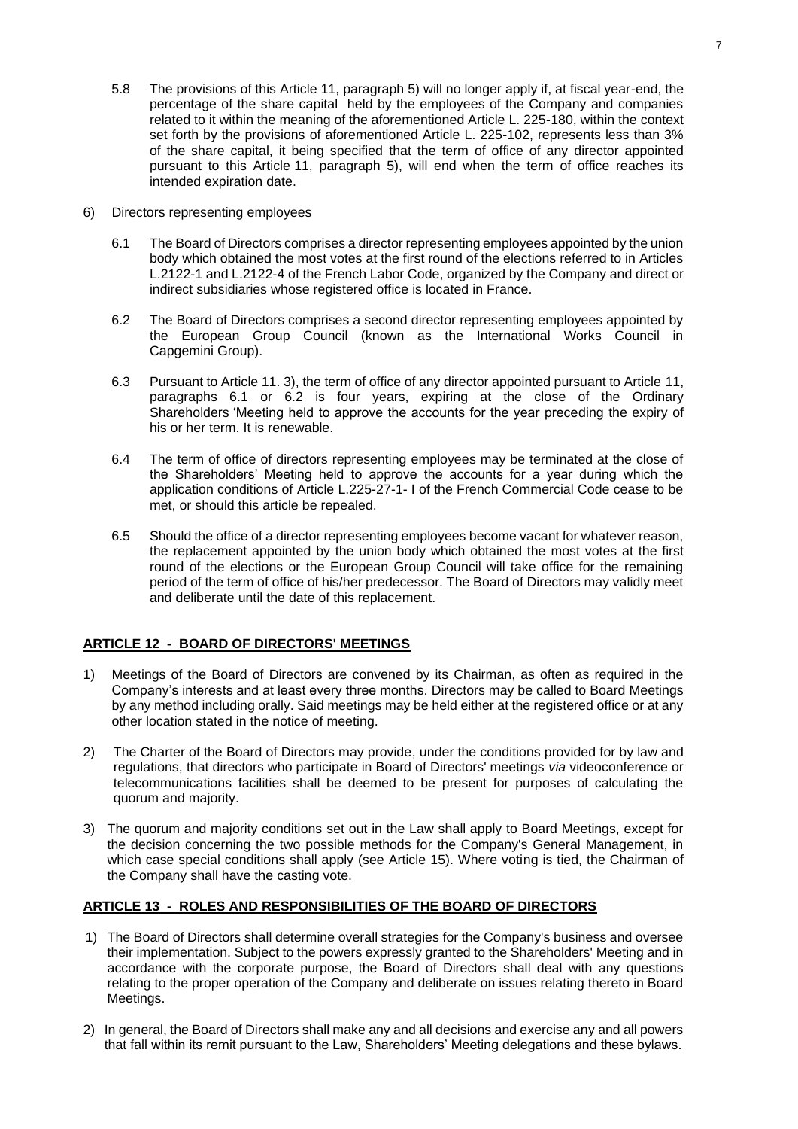- 5.8 The provisions of this Article 11, paragraph 5) will no longer apply if, at fiscal year-end, the percentage of the share capital held by the employees of the Company and companies related to it within the meaning of the aforementioned Article L. 225-180, within the context set forth by the provisions of aforementioned Article L. 225-102, represents less than 3% of the share capital, it being specified that the term of office of any director appointed pursuant to this Article 11, paragraph 5), will end when the term of office reaches its intended expiration date.
- 6) Directors representing employees
	- 6.1 The Board of Directors comprises a director representing employees appointed by the union body which obtained the most votes at the first round of the elections referred to in Articles L.2122-1 and L.2122-4 of the French Labor Code, organized by the Company and direct or indirect subsidiaries whose registered office is located in France.
	- 6.2 The Board of Directors comprises a second director representing employees appointed by the European Group Council (known as the International Works Council in Capgemini Group).
	- 6.3 Pursuant to Article 11. 3), the term of office of any director appointed pursuant to Article 11, paragraphs 6.1 or 6.2 is four years, expiring at the close of the Ordinary Shareholders 'Meeting held to approve the accounts for the year preceding the expiry of his or her term. It is renewable.
	- 6.4 The term of office of directors representing employees may be terminated at the close of the Shareholders' Meeting held to approve the accounts for a year during which the application conditions of Article L.225-27-1- I of the French Commercial Code cease to be met, or should this article be repealed.
	- 6.5 Should the office of a director representing employees become vacant for whatever reason, the replacement appointed by the union body which obtained the most votes at the first round of the elections or the European Group Council will take office for the remaining period of the term of office of his/her predecessor. The Board of Directors may validly meet and deliberate until the date of this replacement.

#### **ARTICLE 12 - BOARD OF DIRECTORS' MEETINGS**

- 1) Meetings of the Board of Directors are convened by its Chairman, as often as required in the Company's interests and at least every three months. Directors may be called to Board Meetings by any method including orally. Said meetings may be held either at the registered office or at any other location stated in the notice of meeting.
- 2) The Charter of the Board of Directors may provide, under the conditions provided for by law and regulations, that directors who participate in Board of Directors' meetings *via* videoconference or telecommunications facilities shall be deemed to be present for purposes of calculating the quorum and majority.
- 3) The quorum and majority conditions set out in the Law shall apply to Board Meetings, except for the decision concerning the two possible methods for the Company's General Management, in which case special conditions shall apply (see Article 15). Where voting is tied, the Chairman of the Company shall have the casting vote.

## **ARTICLE 13 - ROLES AND RESPONSIBILITIES OF THE BOARD OF DIRECTORS**

- 1) The Board of Directors shall determine overall strategies for the Company's business and oversee their implementation. Subject to the powers expressly granted to the Shareholders' Meeting and in accordance with the corporate purpose, the Board of Directors shall deal with any questions relating to the proper operation of the Company and deliberate on issues relating thereto in Board Meetings.
- 2) In general, the Board of Directors shall make any and all decisions and exercise any and all powers that fall within its remit pursuant to the Law, Shareholders' Meeting delegations and these bylaws.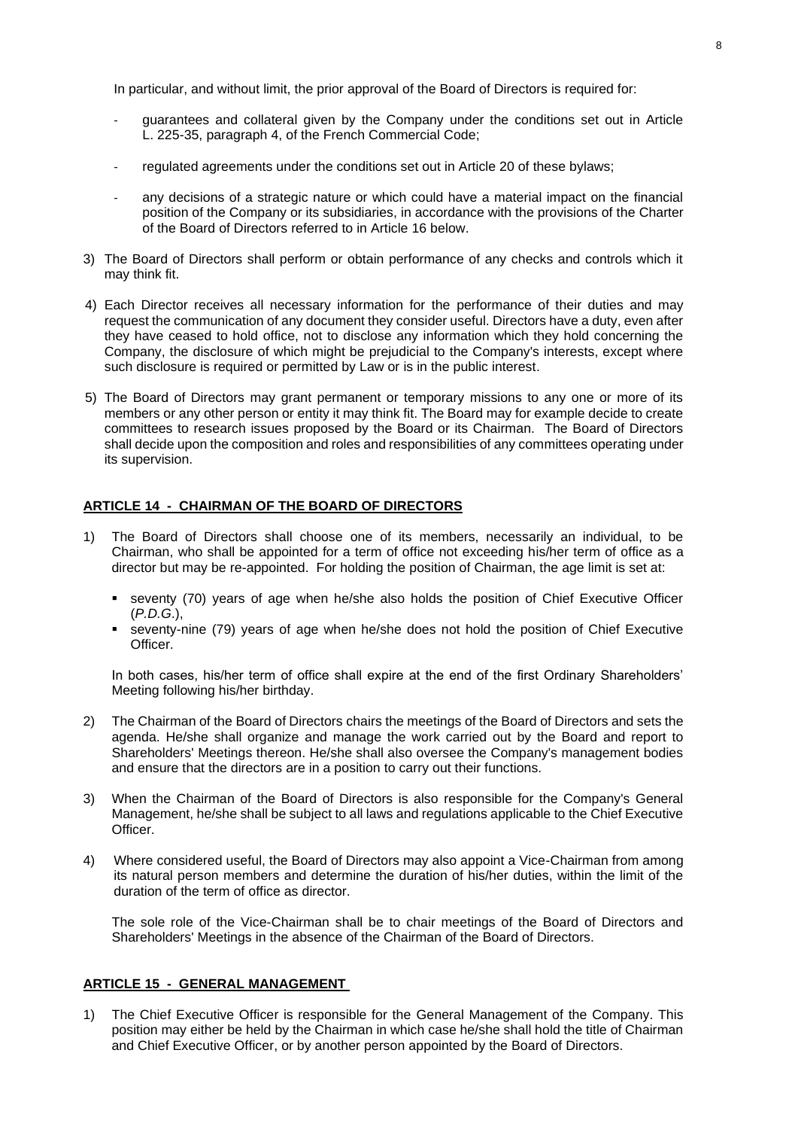In particular, and without limit, the prior approval of the Board of Directors is required for:

- guarantees and collateral given by the Company under the conditions set out in Article L. 225-35, paragraph 4, of the French Commercial Code;
- regulated agreements under the conditions set out in Article 20 of these bylaws;
- any decisions of a strategic nature or which could have a material impact on the financial position of the Company or its subsidiaries, in accordance with the provisions of the Charter of the Board of Directors referred to in Article 16 below.
- 3) The Board of Directors shall perform or obtain performance of any checks and controls which it may think fit.
- 4) Each Director receives all necessary information for the performance of their duties and may request the communication of any document they consider useful. Directors have a duty, even after they have ceased to hold office, not to disclose any information which they hold concerning the Company, the disclosure of which might be prejudicial to the Company's interests, except where such disclosure is required or permitted by Law or is in the public interest.
- 5) The Board of Directors may grant permanent or temporary missions to any one or more of its members or any other person or entity it may think fit. The Board may for example decide to create committees to research issues proposed by the Board or its Chairman. The Board of Directors shall decide upon the composition and roles and responsibilities of any committees operating under its supervision.

## **ARTICLE 14 - CHAIRMAN OF THE BOARD OF DIRECTORS**

- 1) The Board of Directors shall choose one of its members, necessarily an individual, to be Chairman, who shall be appointed for a term of office not exceeding his/her term of office as a director but may be re-appointed. For holding the position of Chairman, the age limit is set at:
	- seventy (70) years of age when he/she also holds the position of Chief Executive Officer (*P.D.G*.),
	- seventy-nine (79) years of age when he/she does not hold the position of Chief Executive Officer.

In both cases, his/her term of office shall expire at the end of the first Ordinary Shareholders' Meeting following his/her birthday.

- 2) The Chairman of the Board of Directors chairs the meetings of the Board of Directors and sets the agenda. He/she shall organize and manage the work carried out by the Board and report to Shareholders' Meetings thereon. He/she shall also oversee the Company's management bodies and ensure that the directors are in a position to carry out their functions.
- 3) When the Chairman of the Board of Directors is also responsible for the Company's General Management, he/she shall be subject to all laws and regulations applicable to the Chief Executive Officer.
- 4) Where considered useful, the Board of Directors may also appoint a Vice-Chairman from among its natural person members and determine the duration of his/her duties, within the limit of the duration of the term of office as director.

The sole role of the Vice-Chairman shall be to chair meetings of the Board of Directors and Shareholders' Meetings in the absence of the Chairman of the Board of Directors.

## **ARTICLE 15 - GENERAL MANAGEMENT**

1) The Chief Executive Officer is responsible for the General Management of the Company. This position may either be held by the Chairman in which case he/she shall hold the title of Chairman and Chief Executive Officer, or by another person appointed by the Board of Directors.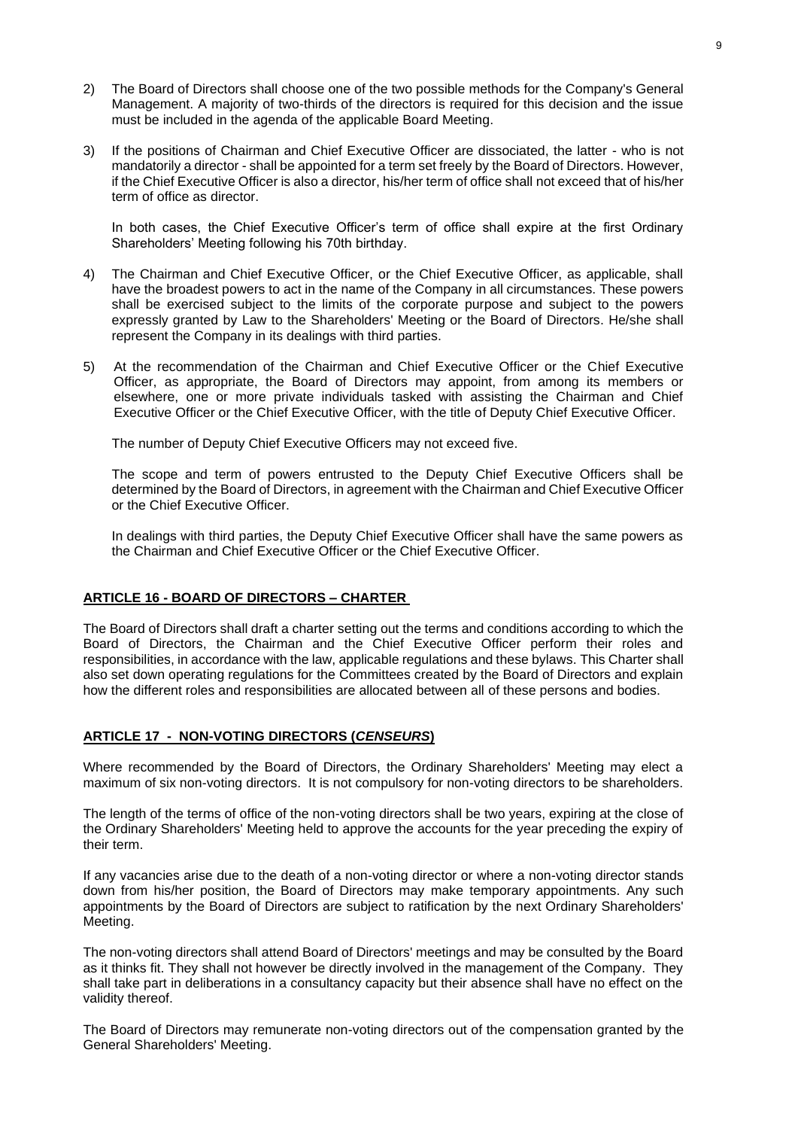- 2) The Board of Directors shall choose one of the two possible methods for the Company's General Management. A majority of two-thirds of the directors is required for this decision and the issue must be included in the agenda of the applicable Board Meeting.
- 3) If the positions of Chairman and Chief Executive Officer are dissociated, the latter who is not mandatorily a director - shall be appointed for a term set freely by the Board of Directors. However, if the Chief Executive Officer is also a director, his/her term of office shall not exceed that of his/her term of office as director.

In both cases, the Chief Executive Officer's term of office shall expire at the first Ordinary Shareholders' Meeting following his 70th birthday.

- 4) The Chairman and Chief Executive Officer, or the Chief Executive Officer, as applicable, shall have the broadest powers to act in the name of the Company in all circumstances. These powers shall be exercised subject to the limits of the corporate purpose and subject to the powers expressly granted by Law to the Shareholders' Meeting or the Board of Directors. He/she shall represent the Company in its dealings with third parties.
- 5) At the recommendation of the Chairman and Chief Executive Officer or the Chief Executive Officer, as appropriate, the Board of Directors may appoint, from among its members or elsewhere, one or more private individuals tasked with assisting the Chairman and Chief Executive Officer or the Chief Executive Officer, with the title of Deputy Chief Executive Officer.

The number of Deputy Chief Executive Officers may not exceed five.

The scope and term of powers entrusted to the Deputy Chief Executive Officers shall be determined by the Board of Directors, in agreement with the Chairman and Chief Executive Officer or the Chief Executive Officer.

In dealings with third parties, the Deputy Chief Executive Officer shall have the same powers as the Chairman and Chief Executive Officer or the Chief Executive Officer.

## **ARTICLE 16 - BOARD OF DIRECTORS – CHARTER**

The Board of Directors shall draft a charter setting out the terms and conditions according to which the Board of Directors, the Chairman and the Chief Executive Officer perform their roles and responsibilities, in accordance with the law, applicable regulations and these bylaws. This Charter shall also set down operating regulations for the Committees created by the Board of Directors and explain how the different roles and responsibilities are allocated between all of these persons and bodies.

#### **ARTICLE 17 - NON-VOTING DIRECTORS (***CENSEURS***)**

Where recommended by the Board of Directors, the Ordinary Shareholders' Meeting may elect a maximum of six non-voting directors. It is not compulsory for non-voting directors to be shareholders.

The length of the terms of office of the non-voting directors shall be two years, expiring at the close of the Ordinary Shareholders' Meeting held to approve the accounts for the year preceding the expiry of their term.

If any vacancies arise due to the death of a non-voting director or where a non-voting director stands down from his/her position, the Board of Directors may make temporary appointments. Any such appointments by the Board of Directors are subject to ratification by the next Ordinary Shareholders' Meeting.

The non-voting directors shall attend Board of Directors' meetings and may be consulted by the Board as it thinks fit. They shall not however be directly involved in the management of the Company. They shall take part in deliberations in a consultancy capacity but their absence shall have no effect on the validity thereof.

The Board of Directors may remunerate non-voting directors out of the compensation granted by the General Shareholders' Meeting.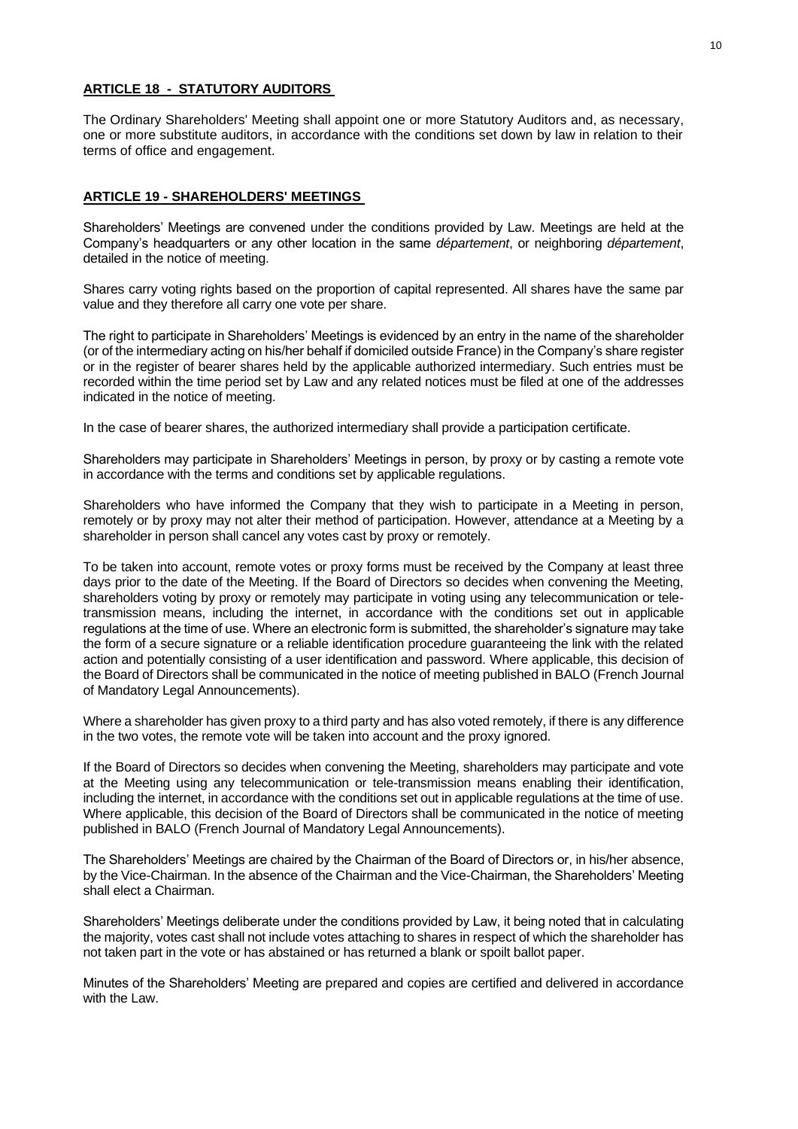## **ARTICLE 18 - STATUTORY AUDITORS**

The Ordinary Shareholders' Meeting shall appoint one or more Statutory Auditors and, as necessary, one or more substitute auditors, in accordance with the conditions set down by law in relation to their terms of office and engagement.

## **ARTICLE 19 - SHAREHOLDERS' MEETINGS**

Shareholders' Meetings are convened under the conditions provided by Law. Meetings are held at the Company's headquarters or any other location in the same *département*, or neighboring *département*, detailed in the notice of meeting.

Shares carry voting rights based on the proportion of capital represented. All shares have the same par value and they therefore all carry one vote per share.

The right to participate in Shareholders' Meetings is evidenced by an entry in the name of the shareholder (or of the intermediary acting on his/her behalf if domiciled outside France) in the Company's share register or in the register of bearer shares held by the applicable authorized intermediary. Such entries must be recorded within the time period set by Law and any related notices must be filed at one of the addresses indicated in the notice of meeting.

In the case of bearer shares, the authorized intermediary shall provide a participation certificate.

Shareholders may participate in Shareholders' Meetings in person, by proxy or by casting a remote vote in accordance with the terms and conditions set by applicable regulations.

Shareholders who have informed the Company that they wish to participate in a Meeting in person, remotely or by proxy may not alter their method of participation. However, attendance at a Meeting by a shareholder in person shall cancel any votes cast by proxy or remotely.

To be taken into account, remote votes or proxy forms must be received by the Company at least three days prior to the date of the Meeting. If the Board of Directors so decides when convening the Meeting, shareholders voting by proxy or remotely may participate in voting using any telecommunication or teletransmission means, including the internet, in accordance with the conditions set out in applicable regulations at the time of use. Where an electronic form is submitted, the shareholder's signature may take the form of a secure signature or a reliable identification procedure guaranteeing the link with the related action and potentially consisting of a user identification and password. Where applicable, this decision of the Board of Directors shall be communicated in the notice of meeting published in BALO (French Journal of Mandatory Legal Announcements).

Where a shareholder has given proxy to a third party and has also voted remotely, if there is any difference in the two votes, the remote vote will be taken into account and the proxy ignored.

If the Board of Directors so decides when convening the Meeting, shareholders may participate and vote at the Meeting using any telecommunication or tele-transmission means enabling their identification, including the internet, in accordance with the conditions set out in applicable regulations at the time of use. Where applicable, this decision of the Board of Directors shall be communicated in the notice of meeting published in BALO (French Journal of Mandatory Legal Announcements).

The Shareholders' Meetings are chaired by the Chairman of the Board of Directors or, in his/her absence, by the Vice-Chairman. In the absence of the Chairman and the Vice-Chairman, the Shareholders' Meeting shall elect a Chairman.

Shareholders' Meetings deliberate under the conditions provided by Law, it being noted that in calculating the majority, votes cast shall not include votes attaching to shares in respect of which the shareholder has not taken part in the vote or has abstained or has returned a blank or spoilt ballot paper.

Minutes of the Shareholders' Meeting are prepared and copies are certified and delivered in accordance with the Law.